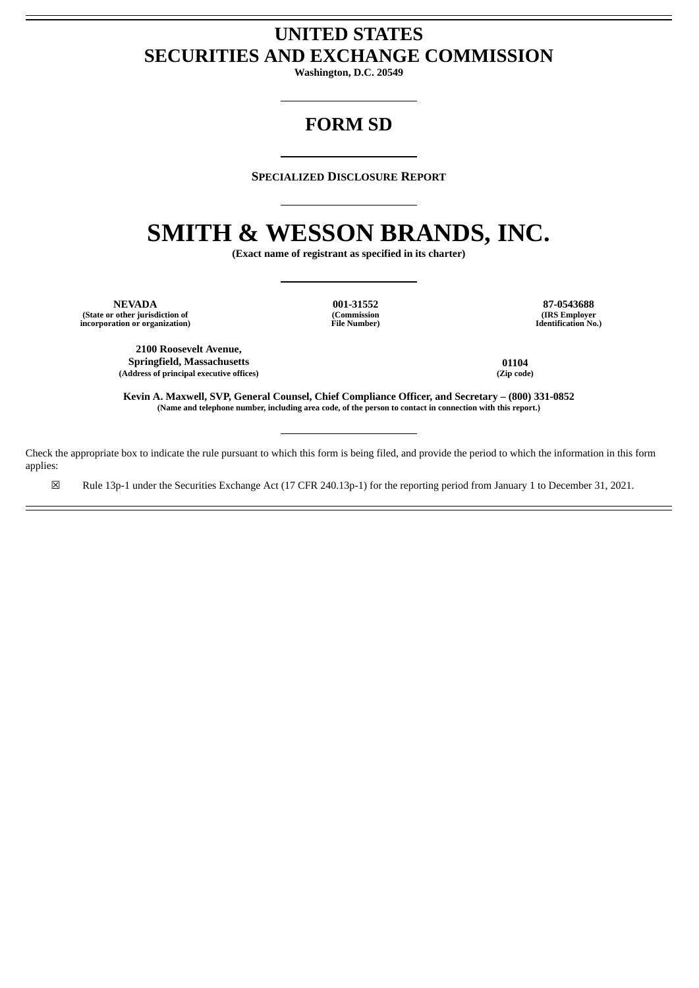# **UNITED STATES SECURITIES AND EXCHANGE COMMISSION**

**Washington, D.C. 20549**

# **FORM SD**

#### **SPECIALIZED DISCLOSURE REPORT**

# **SMITH & WESSON BRANDS, INC.**

**(Exact name of registrant as specified in its charter)**

**NEVADA 001-31552 87-0543688 (State or other jurisdiction of incorporation or organization)**

**(Commission File Number)**

**(IRS Employer Identification No.)**

**2100 Roosevelt Avenue, Springfield, Massachusetts 01104 (Address of principal executive offices) (Zip code)**

**Kevin A. Maxwell, SVP, General Counsel, Chief Compliance Officer, and Secretary – (800) 331-0852** (Name and telephone number, including area code, of the person to contact in connection with this report.)

Check the appropriate box to indicate the rule pursuant to which this form is being filed, and provide the period to which the information in this form applies:

☒ Rule 13p-1 under the Securities Exchange Act (17 CFR 240.13p-1) for the reporting period from January 1 to December 31, 2021.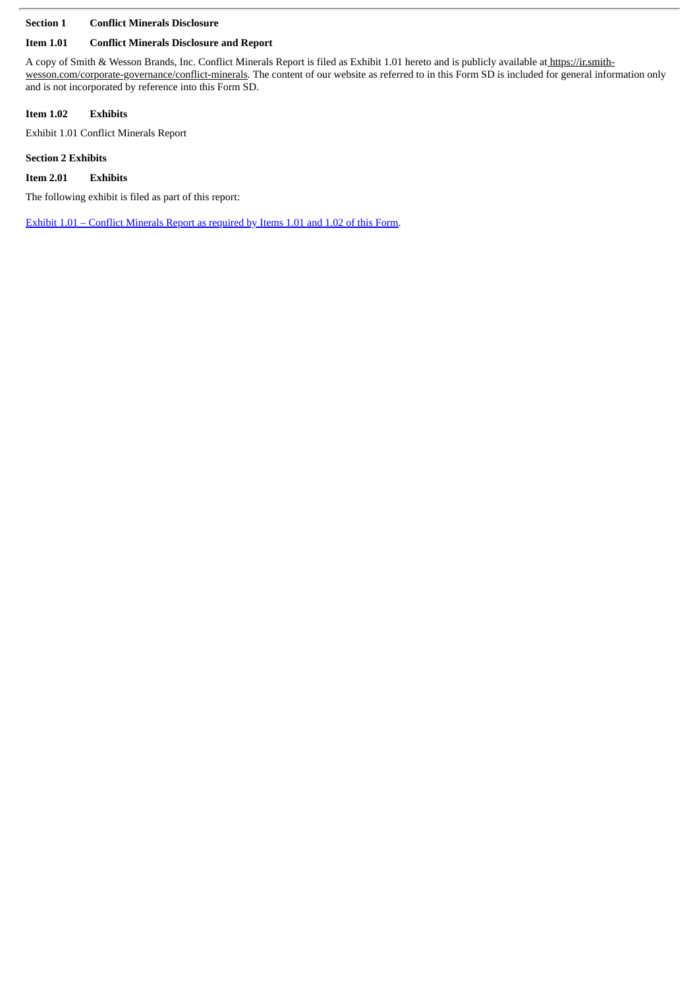# **Section 1 Conflict Minerals Disclosure**

# **Item 1.01 Conflict Minerals Disclosure and Report**

A copy of Smith & Wesson Brands, Inc. Conflict Minerals Report is filed as Exhibit 1.01 hereto and is publicly available at https://ir.smithwesson.com/corporate-governance/conflict-minerals. The content of our website as referred to in this Form SD is included for general information only and is not incorporated by reference into this Form SD.

# **Item 1.02 Exhibits**

Exhibit 1.01 Conflict Minerals Report

# **Section 2 Exhibits**

**Item 2.01 Exhibits**

The following exhibit is filed as part of this report:

Exhibit 1.01 – Conflict [Minerals](#page-3-0) Report as required by Items 1.01 and 1.02 of this Form.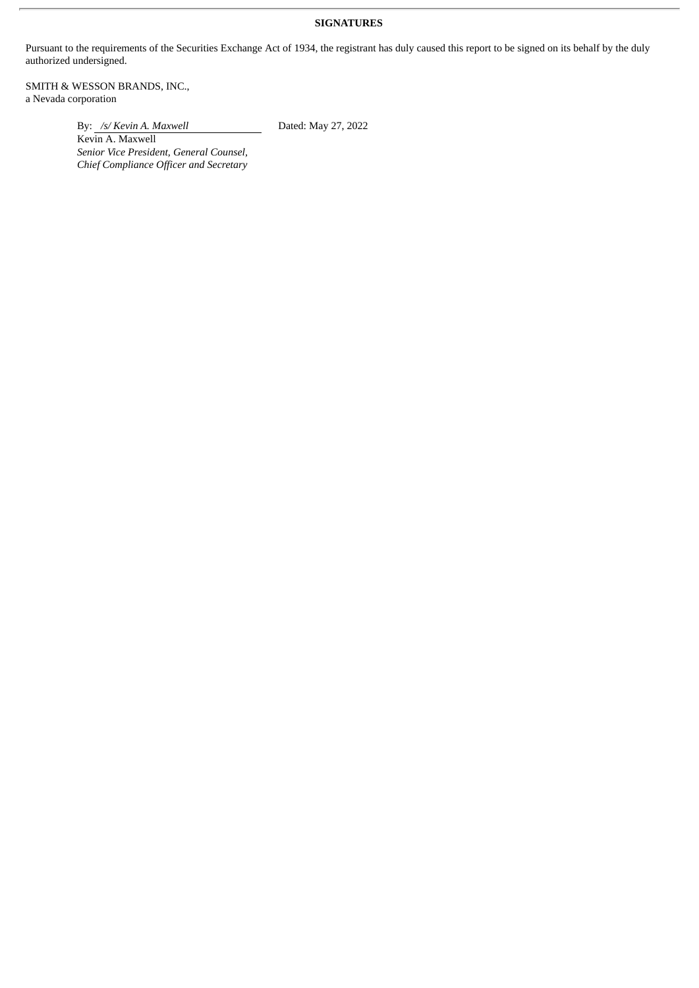# **SIGNATURES**

Pursuant to the requirements of the Securities Exchange Act of 1934, the registrant has duly caused this report to be signed on its behalf by the duly authorized undersigned.

SMITH & WESSON BRANDS, INC., a Nevada corporation

By: */s/ Kevin A. Maxwell* Dated: May 27, 2022

Kevin A. Maxwell *Senior Vice President, General Counsel, Chief Compliance Officer and Secretary*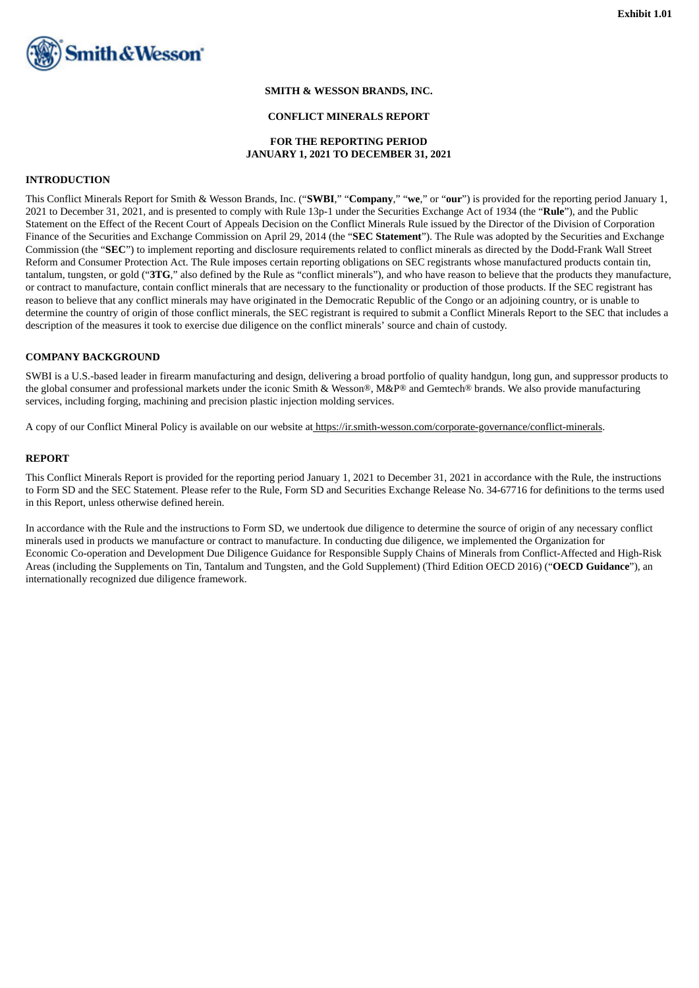<span id="page-3-0"></span>

#### **SMITH & WESSON BRANDS, INC.**

#### **CONFLICT MINERALS REPORT**

#### **FOR THE REPORTING PERIOD JANUARY 1, 2021 TO DECEMBER 31, 2021**

#### **INTRODUCTION**

This Conflict Minerals Report for Smith & Wesson Brands, Inc. ("**SWBI**," "**Company**," "**we**," or "**our**") is provided for the reporting period January 1, 2021 to December 31, 2021, and is presented to comply with Rule 13p-1 under the Securities Exchange Act of 1934 (the "**Rule**"), and the Public Statement on the Effect of the Recent Court of Appeals Decision on the Conflict Minerals Rule issued by the Director of the Division of Corporation Finance of the Securities and Exchange Commission on April 29, 2014 (the "**SEC Statement**"). The Rule was adopted by the Securities and Exchange Commission (the "**SEC**") to implement reporting and disclosure requirements related to conflict minerals as directed by the Dodd-Frank Wall Street Reform and Consumer Protection Act. The Rule imposes certain reporting obligations on SEC registrants whose manufactured products contain tin, tantalum, tungsten, or gold ("**3TG**," also defined by the Rule as "conflict minerals"), and who have reason to believe that the products they manufacture, or contract to manufacture, contain conflict minerals that are necessary to the functionality or production of those products. If the SEC registrant has reason to believe that any conflict minerals may have originated in the Democratic Republic of the Congo or an adjoining country, or is unable to determine the country of origin of those conflict minerals, the SEC registrant is required to submit a Conflict Minerals Report to the SEC that includes a description of the measures it took to exercise due diligence on the conflict minerals' source and chain of custody.

#### **COMPANY BACKGROUND**

SWBI is a U.S.-based leader in firearm manufacturing and design, delivering a broad portfolio of quality handgun, long gun, and suppressor products to the global consumer and professional markets under the iconic Smith & Wesson®, M&P® and Gemtech® brands. We also provide manufacturing services, including forging, machining and precision plastic injection molding services.

A copy of our Conflict Mineral Policy is available on our website at https://ir.smith-wesson.com/corporate-governance/conflict-minerals.

#### **REPORT**

This Conflict Minerals Report is provided for the reporting period January 1, 2021 to December 31, 2021 in accordance with the Rule, the instructions to Form SD and the SEC Statement. Please refer to the Rule, Form SD and Securities Exchange Release No. 34-67716 for definitions to the terms used in this Report, unless otherwise defined herein.

In accordance with the Rule and the instructions to Form SD, we undertook due diligence to determine the source of origin of any necessary conflict minerals used in products we manufacture or contract to manufacture. In conducting due diligence, we implemented the Organization for Economic Co-operation and Development Due Diligence Guidance for Responsible Supply Chains of Minerals from Conflict-Affected and High-Risk Areas (including the Supplements on Tin, Tantalum and Tungsten, and the Gold Supplement) (Third Edition OECD 2016) ("**OECD Guidance**"), an internationally recognized due diligence framework.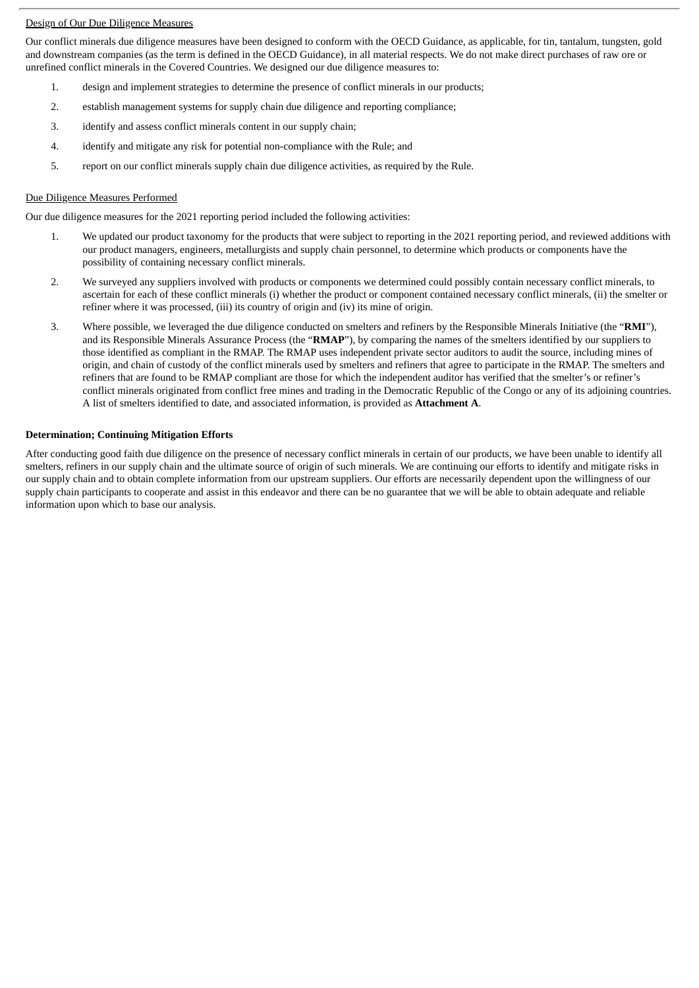# Design of Our Due Diligence Measures

Our conflict minerals due diligence measures have been designed to conform with the OECD Guidance, as applicable, for tin, tantalum, tungsten, gold and downstream companies (as the term is defined in the OECD Guidance), in all material respects. We do not make direct purchases of raw ore or unrefined conflict minerals in the Covered Countries. We designed our due diligence measures to:

- 1. design and implement strategies to determine the presence of conflict minerals in our products;
- 2. establish management systems for supply chain due diligence and reporting compliance;
- 3. identify and assess conflict minerals content in our supply chain;
- 4. identify and mitigate any risk for potential non-compliance with the Rule; and
- 5. report on our conflict minerals supply chain due diligence activities, as required by the Rule.

# Due Diligence Measures Performed

Our due diligence measures for the 2021 reporting period included the following activities:

- 1. We updated our product taxonomy for the products that were subject to reporting in the 2021 reporting period, and reviewed additions with our product managers, engineers, metallurgists and supply chain personnel, to determine which products or components have the possibility of containing necessary conflict minerals.
- 2. We surveyed any suppliers involved with products or components we determined could possibly contain necessary conflict minerals, to ascertain for each of these conflict minerals (i) whether the product or component contained necessary conflict minerals, (ii) the smelter or refiner where it was processed, (iii) its country of origin and (iv) its mine of origin.
- 3. Where possible, we leveraged the due diligence conducted on smelters and refiners by the Responsible Minerals Initiative (the "**RMI**"), and its Responsible Minerals Assurance Process (the "**RMAP**"), by comparing the names of the smelters identified by our suppliers to those identified as compliant in the RMAP. The RMAP uses independent private sector auditors to audit the source, including mines of origin, and chain of custody of the conflict minerals used by smelters and refiners that agree to participate in the RMAP. The smelters and refiners that are found to be RMAP compliant are those for which the independent auditor has verified that the smelter's or refiner's conflict minerals originated from conflict free mines and trading in the Democratic Republic of the Congo or any of its adjoining countries. A list of smelters identified to date, and associated information, is provided as **Attachment A**.

# **Determination; Continuing Mitigation Efforts**

After conducting good faith due diligence on the presence of necessary conflict minerals in certain of our products, we have been unable to identify all smelters, refiners in our supply chain and the ultimate source of origin of such minerals. We are continuing our efforts to identify and mitigate risks in our supply chain and to obtain complete information from our upstream suppliers. Our efforts are necessarily dependent upon the willingness of our supply chain participants to cooperate and assist in this endeavor and there can be no guarantee that we will be able to obtain adequate and reliable information upon which to base our analysis.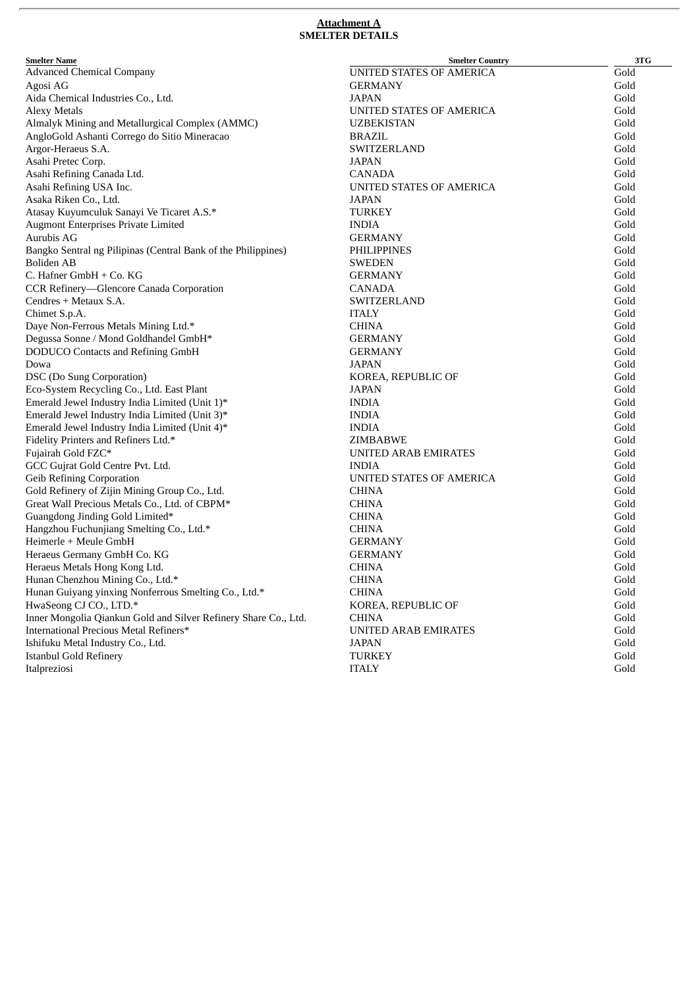#### **Attachment A SMELTER DETAILS**

| <b>Smelter Name</b>                                             | <b>Smelter Country</b>   | 3TG  |
|-----------------------------------------------------------------|--------------------------|------|
| <b>Advanced Chemical Company</b>                                | UNITED STATES OF AMERICA | Gold |
| Agosi AG                                                        | <b>GERMANY</b>           | Gold |
| Aida Chemical Industries Co., Ltd.                              | <b>JAPAN</b>             | Gold |
| <b>Alexy Metals</b>                                             | UNITED STATES OF AMERICA | Gold |
| Almalyk Mining and Metallurgical Complex (AMMC)                 | <b>UZBEKISTAN</b>        | Gold |
| AngloGold Ashanti Corrego do Sitio Mineracao                    | <b>BRAZIL</b>            | Gold |
| Argor-Heraeus S.A.                                              | SWITZERLAND              | Gold |
| Asahi Pretec Corp.                                              | JAPAN                    | Gold |
| Asahi Refining Canada Ltd.                                      | <b>CANADA</b>            | Gold |
| Asahi Refining USA Inc.                                         | UNITED STATES OF AMERICA | Gold |
| Asaka Riken Co., Ltd.                                           | <b>JAPAN</b>             | Gold |
| Atasay Kuyumculuk Sanayi Ve Ticaret A.S.*                       | <b>TURKEY</b>            | Gold |
| Augmont Enterprises Private Limited                             | <b>INDIA</b>             | Gold |
| Aurubis AG                                                      | <b>GERMANY</b>           | Gold |
| Bangko Sentral ng Pilipinas (Central Bank of the Philippines)   | PHILIPPINES              | Gold |
| Boliden AB                                                      | SWEDEN                   | Gold |
| C. Hafner GmbH + Co. KG                                         | <b>GERMANY</b>           | Gold |
| CCR Refinery-Glencore Canada Corporation                        | <b>CANADA</b>            | Gold |
| Cendres + Metaux S.A.                                           | SWITZERLAND              | Gold |
| Chimet S.p.A.                                                   | <b>ITALY</b>             | Gold |
| Daye Non-Ferrous Metals Mining Ltd.*                            | <b>CHINA</b>             | Gold |
| Degussa Sonne / Mond Goldhandel GmbH*                           | <b>GERMANY</b>           | Gold |
| <b>DODUCO Contacts and Refining GmbH</b>                        | <b>GERMANY</b>           | Gold |
| Dowa                                                            | <b>JAPAN</b>             | Gold |
| <b>DSC</b> (Do Sung Corporation)                                | KOREA, REPUBLIC OF       | Gold |
| Eco-System Recycling Co., Ltd. East Plant                       | JAPAN                    | Gold |
| Emerald Jewel Industry India Limited (Unit 1)*                  | <b>INDIA</b>             | Gold |
| Emerald Jewel Industry India Limited (Unit 3)*                  | <b>INDIA</b>             | Gold |
| Emerald Jewel Industry India Limited (Unit 4)*                  | <b>INDIA</b>             | Gold |
| Fidelity Printers and Refiners Ltd.*                            | <b>ZIMBABWE</b>          | Gold |
| Fujairah Gold FZC*                                              | UNITED ARAB EMIRATES     | Gold |
| GCC Gujrat Gold Centre Pvt. Ltd.                                | <b>INDIA</b>             | Gold |
| <b>Geib Refining Corporation</b>                                | UNITED STATES OF AMERICA | Gold |
| Gold Refinery of Zijin Mining Group Co., Ltd.                   | <b>CHINA</b>             | Gold |
| Great Wall Precious Metals Co., Ltd. of CBPM*                   | <b>CHINA</b>             | Gold |
| Guangdong Jinding Gold Limited*                                 | <b>CHINA</b>             | Gold |
| Hangzhou Fuchunjiang Smelting Co., Ltd.*                        | <b>CHINA</b>             | Gold |
| Heimerle + Meule GmbH                                           | <b>GERMANY</b>           | Gold |
| Heraeus Germany GmbH Co. KG                                     | <b>GERMANY</b>           | Gold |
| Heraeus Metals Hong Kong Ltd.                                   | <b>CHINA</b>             | Gold |
| Hunan Chenzhou Mining Co., Ltd.*                                | <b>CHINA</b>             | Gold |
| Hunan Guiyang yinxing Nonferrous Smelting Co., Ltd.*            | <b>CHINA</b>             | Gold |
| HwaSeong CJ CO., LTD.*                                          | KOREA, REPUBLIC OF       | Gold |
| Inner Mongolia Qiankun Gold and Silver Refinery Share Co., Ltd. | <b>CHINA</b>             | Gold |
| International Precious Metal Refiners*                          | UNITED ARAB EMIRATES     | Gold |
| Ishifuku Metal Industry Co., Ltd.                               | <b>JAPAN</b>             | Gold |
| <b>Istanbul Gold Refinery</b>                                   | <b>TURKEY</b>            | Gold |
| Italpreziosi                                                    | <b>ITALY</b>             | Gold |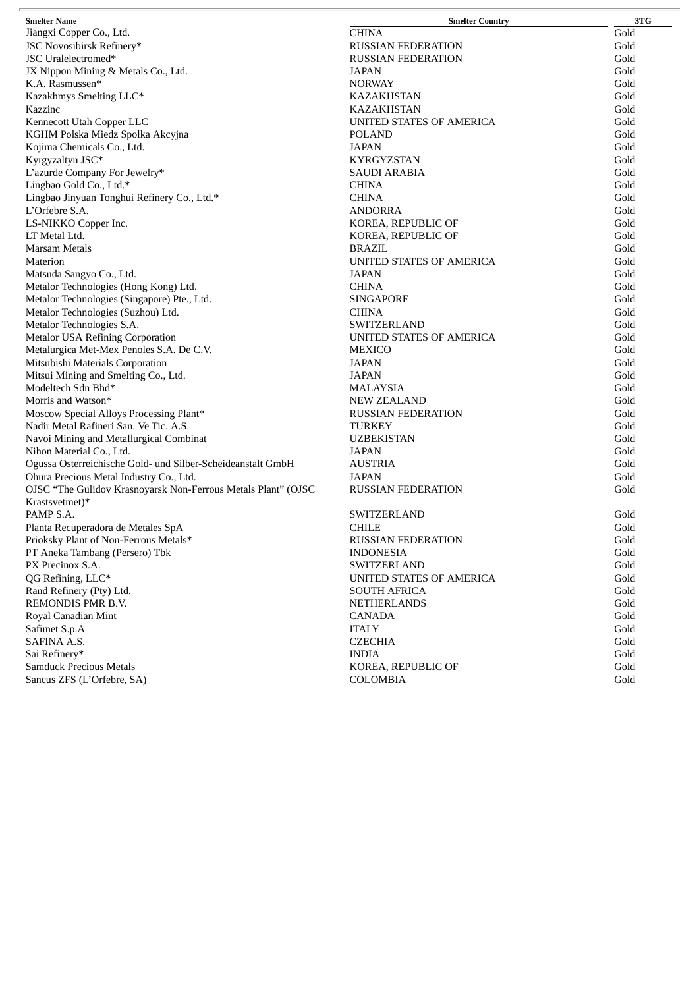| <b>Smelter Name</b>                                           | <b>Smelter Country</b>    | 3TG  |
|---------------------------------------------------------------|---------------------------|------|
| Jiangxi Copper Co., Ltd.                                      | <b>CHINA</b>              | Gold |
| JSC Novosibirsk Refinery*                                     | <b>RUSSIAN FEDERATION</b> | Gold |
| JSC Uralelectromed*                                           | <b>RUSSIAN FEDERATION</b> | Gold |
| JX Nippon Mining & Metals Co., Ltd.                           | JAPAN                     | Gold |
| K.A. Rasmussen*                                               | <b>NORWAY</b>             | Gold |
| Kazakhmys Smelting LLC*                                       | <b>KAZAKHSTAN</b>         | Gold |
| Kazzinc                                                       | KAZAKHSTAN                | Gold |
| Kennecott Utah Copper LLC                                     | UNITED STATES OF AMERICA  | Gold |
| KGHM Polska Miedz Spolka Akcyjna                              | POLAND                    | Gold |
| Kojima Chemicals Co., Ltd.                                    | JAPAN                     | Gold |
| Kyrgyzaltyn JSC*                                              | <b>KYRGYZSTAN</b>         | Gold |
| L'azurde Company For Jewelry*                                 | <b>SAUDI ARABIA</b>       | Gold |
| Lingbao Gold Co., Ltd.*                                       | <b>CHINA</b>              | Gold |
| Lingbao Jinyuan Tonghui Refinery Co., Ltd.*                   | <b>CHINA</b>              | Gold |
| L'Orfebre S.A.                                                | <b>ANDORRA</b>            | Gold |
| LS-NIKKO Copper Inc.                                          | KOREA, REPUBLIC OF        | Gold |
| LT Metal Ltd.                                                 | KOREA, REPUBLIC OF        | Gold |
| Marsam Metals                                                 | <b>BRAZIL</b>             | Gold |
| Materion                                                      | UNITED STATES OF AMERICA  | Gold |
|                                                               | JAPAN                     | Gold |
| Matsuda Sangyo Co., Ltd.                                      |                           |      |
| Metalor Technologies (Hong Kong) Ltd.                         | <b>CHINA</b>              | Gold |
| Metalor Technologies (Singapore) Pte., Ltd.                   | <b>SINGAPORE</b>          | Gold |
| Metalor Technologies (Suzhou) Ltd.                            | <b>CHINA</b>              | Gold |
| Metalor Technologies S.A.                                     | SWITZERLAND               | Gold |
| <b>Metalor USA Refining Corporation</b>                       | UNITED STATES OF AMERICA  | Gold |
| Metalurgica Met-Mex Penoles S.A. De C.V.                      | <b>MEXICO</b>             | Gold |
| Mitsubishi Materials Corporation                              | JAPAN                     | Gold |
| Mitsui Mining and Smelting Co., Ltd.                          | JAPAN                     | Gold |
| Modeltech Sdn Bhd*                                            | <b>MALAYSIA</b>           | Gold |
| Morris and Watson*                                            | <b>NEW ZEALAND</b>        | Gold |
| Moscow Special Alloys Processing Plant*                       | <b>RUSSIAN FEDERATION</b> | Gold |
| Nadir Metal Rafineri San. Ve Tic. A.S.                        | TURKEY                    | Gold |
| Navoi Mining and Metallurgical Combinat                       | <b>UZBEKISTAN</b>         | Gold |
| Nihon Material Co., Ltd.                                      | <b>JAPAN</b>              | Gold |
| Ogussa Osterreichische Gold- und Silber-Scheideanstalt GmbH   | AUSTRIA                   | Gold |
| Ohura Precious Metal Industry Co., Ltd.                       | JAPAN                     | Gold |
| OJSC "The Gulidov Krasnoyarsk Non-Ferrous Metals Plant" (OJSC | <b>RUSSIAN FEDERATION</b> | Gold |
| Krastsvetmet)*                                                |                           |      |
| PAMP S.A.                                                     | <b>SWITZERLAND</b>        | Gold |
| Planta Recuperadora de Metales SpA                            | <b>CHILE</b>              | Gold |
| Prioksky Plant of Non-Ferrous Metals*                         | <b>RUSSIAN FEDERATION</b> | Gold |
| PT Aneka Tambang (Persero) Tbk                                | <b>INDONESIA</b>          | Gold |
| PX Precinox S.A.                                              | <b>SWITZERLAND</b>        | Gold |
| QG Refining, LLC*                                             | UNITED STATES OF AMERICA  | Gold |
| Rand Refinery (Pty) Ltd.                                      | <b>SOUTH AFRICA</b>       | Gold |
| REMONDIS PMR B.V.                                             | <b>NETHERLANDS</b>        | Gold |
| Royal Canadian Mint                                           | CANADA                    | Gold |
| Safimet S.p.A                                                 | <b>ITALY</b>              | Gold |
| SAFINA A.S.                                                   | <b>CZECHIA</b>            | Gold |
| Sai Refinery*                                                 | <b>INDIA</b>              | Gold |
| <b>Samduck Precious Metals</b>                                | KOREA, REPUBLIC OF        | Gold |
| Sancus ZFS (L'Orfebre, SA)                                    | <b>COLOMBIA</b>           | Gold |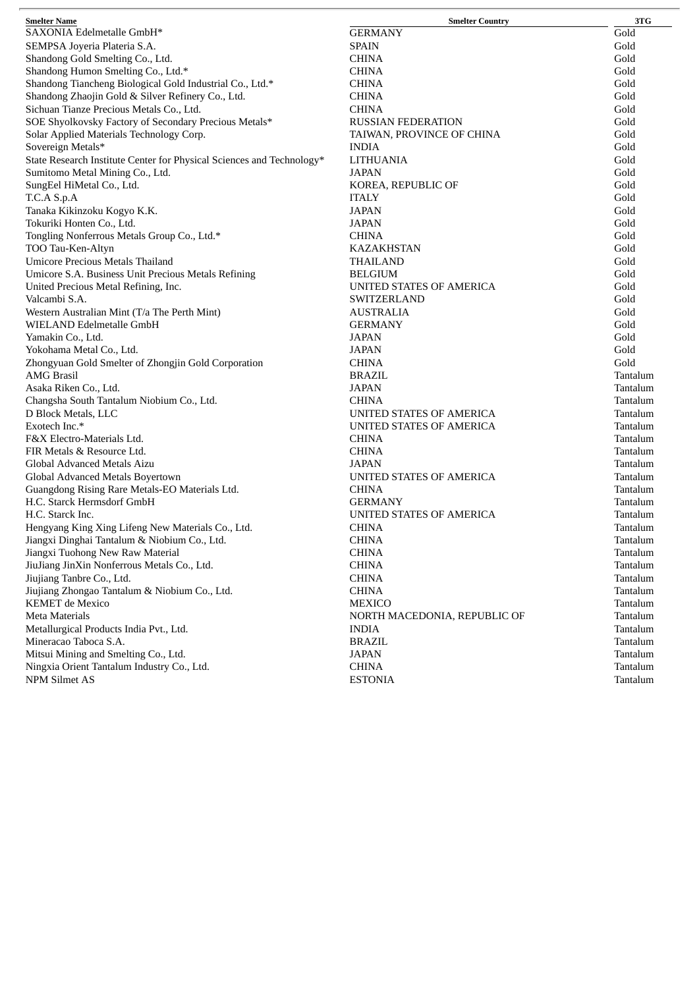| Gold<br><b>GERMANY</b><br>SEMPSA Joyeria Plateria S.A.<br><b>SPAIN</b><br>Gold<br>Shandong Gold Smelting Co., Ltd.<br><b>CHINA</b><br>Gold<br>Shandong Humon Smelting Co., Ltd.*<br><b>CHINA</b><br>Gold<br>Shandong Tiancheng Biological Gold Industrial Co., Ltd.*<br><b>CHINA</b><br>Gold<br>Shandong Zhaojin Gold & Silver Refinery Co., Ltd.<br><b>CHINA</b><br>Gold<br>Sichuan Tianze Precious Metals Co., Ltd.<br><b>CHINA</b><br>Gold<br>SOE Shyolkovsky Factory of Secondary Precious Metals*<br>Gold<br><b>RUSSIAN FEDERATION</b><br>Solar Applied Materials Technology Corp.<br>Gold<br>TAIWAN, PROVINCE OF CHINA<br>Sovereign Metals*<br><b>INDIA</b><br>Gold<br>State Research Institute Center for Physical Sciences and Technology*<br>Gold<br>LITHUANIA<br>Sumitomo Metal Mining Co., Ltd.<br>JAPAN<br>Gold<br>Gold<br>SungEel HiMetal Co., Ltd.<br>KOREA, REPUBLIC OF<br>Gold<br><b>ITALY</b><br>Tanaka Kikinzoku Kogyo K.K.<br>Gold<br>JAPAN<br>Tokuriki Honten Co., Ltd.<br>Gold<br>JAPAN<br>Tongling Nonferrous Metals Group Co., Ltd.*<br><b>CHINA</b><br>Gold<br>TOO Tau-Ken-Altyn<br>Gold<br>KAZAKHSTAN<br><b>Umicore Precious Metals Thailand</b><br><b>THAILAND</b><br>Gold<br>Umicore S.A. Business Unit Precious Metals Refining<br><b>BELGIUM</b><br>Gold<br>Gold<br>United Precious Metal Refining, Inc.<br>UNITED STATES OF AMERICA<br>Gold<br>Valcambi S.A.<br>SWITZERLAND<br>Western Australian Mint (T/a The Perth Mint)<br>Gold<br><b>AUSTRALIA</b><br>WIELAND Edelmetalle GmbH<br>Gold<br><b>GERMANY</b><br>Yamakin Co., Ltd.<br>Gold<br>JAPAN<br>Gold<br>Yokohama Metal Co., Ltd.<br>JAPAN<br>Zhongyuan Gold Smelter of Zhongjin Gold Corporation<br>Gold<br><b>CHINA</b><br><b>AMG Brasil</b><br>Tantalum<br><b>BRAZIL</b><br><b>JAPAN</b><br>Tantalum<br>Asaka Riken Co., Ltd.<br>Changsha South Tantalum Niobium Co., Ltd.<br><b>CHINA</b><br>Tantalum<br>D Block Metals, LLC<br>UNITED STATES OF AMERICA<br>Tantalum<br>Exotech Inc.*<br>Tantalum<br>UNITED STATES OF AMERICA<br>F&X Electro-Materials Ltd.<br><b>CHINA</b><br>Tantalum<br>FIR Metals & Resource Ltd.<br><b>CHINA</b><br>Tantalum<br>Global Advanced Metals Aizu<br>JAPAN<br>Tantalum<br>Global Advanced Metals Boyertown<br>Tantalum<br>UNITED STATES OF AMERICA<br>Guangdong Rising Rare Metals-EO Materials Ltd.<br>Tantalum<br><b>CHINA</b><br>H.C. Starck Hermsdorf GmbH<br>Tantalum<br><b>GERMANY</b><br>UNITED STATES OF AMERICA<br>Tantalum<br><b>CHINA</b><br>Hengyang King Xing Lifeng New Materials Co., Ltd.<br>Tantalum<br>Jiangxi Dinghai Tantalum & Niobium Co., Ltd.<br><b>CHINA</b><br>Tantalum<br>Jiangxi Tuohong New Raw Material<br><b>CHINA</b><br>Tantalum<br>JiuJiang JinXin Nonferrous Metals Co., Ltd.<br><b>CHINA</b><br>Tantalum<br>Jiujiang Tanbre Co., Ltd.<br><b>CHINA</b><br>Tantalum<br>Jiujiang Zhongao Tantalum & Niobium Co., Ltd.<br><b>CHINA</b><br>Tantalum<br><b>KEMET</b> de Mexico<br><b>MEXICO</b><br>Tantalum<br><b>Meta Materials</b><br>Tantalum<br>NORTH MACEDONIA, REPUBLIC OF<br>Metallurgical Products India Pvt., Ltd.<br>Tantalum<br><b>INDIA</b><br>Mineracao Taboca S.A.<br><b>BRAZIL</b><br>Tantalum<br>Mitsui Mining and Smelting Co., Ltd.<br><b>JAPAN</b><br>Tantalum<br>Ningxia Orient Tantalum Industry Co., Ltd.<br><b>CHINA</b><br>Tantalum<br>NPM Silmet AS<br><b>ESTONIA</b><br>Tantalum | <b>Smelter Name</b>       | <b>Smelter Country</b> | 3TG |
|-----------------------------------------------------------------------------------------------------------------------------------------------------------------------------------------------------------------------------------------------------------------------------------------------------------------------------------------------------------------------------------------------------------------------------------------------------------------------------------------------------------------------------------------------------------------------------------------------------------------------------------------------------------------------------------------------------------------------------------------------------------------------------------------------------------------------------------------------------------------------------------------------------------------------------------------------------------------------------------------------------------------------------------------------------------------------------------------------------------------------------------------------------------------------------------------------------------------------------------------------------------------------------------------------------------------------------------------------------------------------------------------------------------------------------------------------------------------------------------------------------------------------------------------------------------------------------------------------------------------------------------------------------------------------------------------------------------------------------------------------------------------------------------------------------------------------------------------------------------------------------------------------------------------------------------------------------------------------------------------------------------------------------------------------------------------------------------------------------------------------------------------------------------------------------------------------------------------------------------------------------------------------------------------------------------------------------------------------------------------------------------------------------------------------------------------------------------------------------------------------------------------------------------------------------------------------------------------------------------------------------------------------------------------------------------------------------------------------------------------------------------------------------------------------------------------------------------------------------------------------------------------------------------------------------------------------------------------------------------------------------------------------------------------------------------------------------------------------------------------------------------------------------------------------------------------------------------------------------------------------------------------------------------------------------------------------------------------------------------------|---------------------------|------------------------|-----|
|                                                                                                                                                                                                                                                                                                                                                                                                                                                                                                                                                                                                                                                                                                                                                                                                                                                                                                                                                                                                                                                                                                                                                                                                                                                                                                                                                                                                                                                                                                                                                                                                                                                                                                                                                                                                                                                                                                                                                                                                                                                                                                                                                                                                                                                                                                                                                                                                                                                                                                                                                                                                                                                                                                                                                                                                                                                                                                                                                                                                                                                                                                                                                                                                                                                                                                                                                                 | SAXONIA Edelmetalle GmbH* |                        |     |
|                                                                                                                                                                                                                                                                                                                                                                                                                                                                                                                                                                                                                                                                                                                                                                                                                                                                                                                                                                                                                                                                                                                                                                                                                                                                                                                                                                                                                                                                                                                                                                                                                                                                                                                                                                                                                                                                                                                                                                                                                                                                                                                                                                                                                                                                                                                                                                                                                                                                                                                                                                                                                                                                                                                                                                                                                                                                                                                                                                                                                                                                                                                                                                                                                                                                                                                                                                 |                           |                        |     |
|                                                                                                                                                                                                                                                                                                                                                                                                                                                                                                                                                                                                                                                                                                                                                                                                                                                                                                                                                                                                                                                                                                                                                                                                                                                                                                                                                                                                                                                                                                                                                                                                                                                                                                                                                                                                                                                                                                                                                                                                                                                                                                                                                                                                                                                                                                                                                                                                                                                                                                                                                                                                                                                                                                                                                                                                                                                                                                                                                                                                                                                                                                                                                                                                                                                                                                                                                                 |                           |                        |     |
|                                                                                                                                                                                                                                                                                                                                                                                                                                                                                                                                                                                                                                                                                                                                                                                                                                                                                                                                                                                                                                                                                                                                                                                                                                                                                                                                                                                                                                                                                                                                                                                                                                                                                                                                                                                                                                                                                                                                                                                                                                                                                                                                                                                                                                                                                                                                                                                                                                                                                                                                                                                                                                                                                                                                                                                                                                                                                                                                                                                                                                                                                                                                                                                                                                                                                                                                                                 |                           |                        |     |
|                                                                                                                                                                                                                                                                                                                                                                                                                                                                                                                                                                                                                                                                                                                                                                                                                                                                                                                                                                                                                                                                                                                                                                                                                                                                                                                                                                                                                                                                                                                                                                                                                                                                                                                                                                                                                                                                                                                                                                                                                                                                                                                                                                                                                                                                                                                                                                                                                                                                                                                                                                                                                                                                                                                                                                                                                                                                                                                                                                                                                                                                                                                                                                                                                                                                                                                                                                 |                           |                        |     |
|                                                                                                                                                                                                                                                                                                                                                                                                                                                                                                                                                                                                                                                                                                                                                                                                                                                                                                                                                                                                                                                                                                                                                                                                                                                                                                                                                                                                                                                                                                                                                                                                                                                                                                                                                                                                                                                                                                                                                                                                                                                                                                                                                                                                                                                                                                                                                                                                                                                                                                                                                                                                                                                                                                                                                                                                                                                                                                                                                                                                                                                                                                                                                                                                                                                                                                                                                                 |                           |                        |     |
|                                                                                                                                                                                                                                                                                                                                                                                                                                                                                                                                                                                                                                                                                                                                                                                                                                                                                                                                                                                                                                                                                                                                                                                                                                                                                                                                                                                                                                                                                                                                                                                                                                                                                                                                                                                                                                                                                                                                                                                                                                                                                                                                                                                                                                                                                                                                                                                                                                                                                                                                                                                                                                                                                                                                                                                                                                                                                                                                                                                                                                                                                                                                                                                                                                                                                                                                                                 |                           |                        |     |
|                                                                                                                                                                                                                                                                                                                                                                                                                                                                                                                                                                                                                                                                                                                                                                                                                                                                                                                                                                                                                                                                                                                                                                                                                                                                                                                                                                                                                                                                                                                                                                                                                                                                                                                                                                                                                                                                                                                                                                                                                                                                                                                                                                                                                                                                                                                                                                                                                                                                                                                                                                                                                                                                                                                                                                                                                                                                                                                                                                                                                                                                                                                                                                                                                                                                                                                                                                 |                           |                        |     |
|                                                                                                                                                                                                                                                                                                                                                                                                                                                                                                                                                                                                                                                                                                                                                                                                                                                                                                                                                                                                                                                                                                                                                                                                                                                                                                                                                                                                                                                                                                                                                                                                                                                                                                                                                                                                                                                                                                                                                                                                                                                                                                                                                                                                                                                                                                                                                                                                                                                                                                                                                                                                                                                                                                                                                                                                                                                                                                                                                                                                                                                                                                                                                                                                                                                                                                                                                                 |                           |                        |     |
|                                                                                                                                                                                                                                                                                                                                                                                                                                                                                                                                                                                                                                                                                                                                                                                                                                                                                                                                                                                                                                                                                                                                                                                                                                                                                                                                                                                                                                                                                                                                                                                                                                                                                                                                                                                                                                                                                                                                                                                                                                                                                                                                                                                                                                                                                                                                                                                                                                                                                                                                                                                                                                                                                                                                                                                                                                                                                                                                                                                                                                                                                                                                                                                                                                                                                                                                                                 |                           |                        |     |
|                                                                                                                                                                                                                                                                                                                                                                                                                                                                                                                                                                                                                                                                                                                                                                                                                                                                                                                                                                                                                                                                                                                                                                                                                                                                                                                                                                                                                                                                                                                                                                                                                                                                                                                                                                                                                                                                                                                                                                                                                                                                                                                                                                                                                                                                                                                                                                                                                                                                                                                                                                                                                                                                                                                                                                                                                                                                                                                                                                                                                                                                                                                                                                                                                                                                                                                                                                 |                           |                        |     |
|                                                                                                                                                                                                                                                                                                                                                                                                                                                                                                                                                                                                                                                                                                                                                                                                                                                                                                                                                                                                                                                                                                                                                                                                                                                                                                                                                                                                                                                                                                                                                                                                                                                                                                                                                                                                                                                                                                                                                                                                                                                                                                                                                                                                                                                                                                                                                                                                                                                                                                                                                                                                                                                                                                                                                                                                                                                                                                                                                                                                                                                                                                                                                                                                                                                                                                                                                                 |                           |                        |     |
|                                                                                                                                                                                                                                                                                                                                                                                                                                                                                                                                                                                                                                                                                                                                                                                                                                                                                                                                                                                                                                                                                                                                                                                                                                                                                                                                                                                                                                                                                                                                                                                                                                                                                                                                                                                                                                                                                                                                                                                                                                                                                                                                                                                                                                                                                                                                                                                                                                                                                                                                                                                                                                                                                                                                                                                                                                                                                                                                                                                                                                                                                                                                                                                                                                                                                                                                                                 |                           |                        |     |
|                                                                                                                                                                                                                                                                                                                                                                                                                                                                                                                                                                                                                                                                                                                                                                                                                                                                                                                                                                                                                                                                                                                                                                                                                                                                                                                                                                                                                                                                                                                                                                                                                                                                                                                                                                                                                                                                                                                                                                                                                                                                                                                                                                                                                                                                                                                                                                                                                                                                                                                                                                                                                                                                                                                                                                                                                                                                                                                                                                                                                                                                                                                                                                                                                                                                                                                                                                 | T.C.A S.p.A               |                        |     |
|                                                                                                                                                                                                                                                                                                                                                                                                                                                                                                                                                                                                                                                                                                                                                                                                                                                                                                                                                                                                                                                                                                                                                                                                                                                                                                                                                                                                                                                                                                                                                                                                                                                                                                                                                                                                                                                                                                                                                                                                                                                                                                                                                                                                                                                                                                                                                                                                                                                                                                                                                                                                                                                                                                                                                                                                                                                                                                                                                                                                                                                                                                                                                                                                                                                                                                                                                                 |                           |                        |     |
|                                                                                                                                                                                                                                                                                                                                                                                                                                                                                                                                                                                                                                                                                                                                                                                                                                                                                                                                                                                                                                                                                                                                                                                                                                                                                                                                                                                                                                                                                                                                                                                                                                                                                                                                                                                                                                                                                                                                                                                                                                                                                                                                                                                                                                                                                                                                                                                                                                                                                                                                                                                                                                                                                                                                                                                                                                                                                                                                                                                                                                                                                                                                                                                                                                                                                                                                                                 |                           |                        |     |
|                                                                                                                                                                                                                                                                                                                                                                                                                                                                                                                                                                                                                                                                                                                                                                                                                                                                                                                                                                                                                                                                                                                                                                                                                                                                                                                                                                                                                                                                                                                                                                                                                                                                                                                                                                                                                                                                                                                                                                                                                                                                                                                                                                                                                                                                                                                                                                                                                                                                                                                                                                                                                                                                                                                                                                                                                                                                                                                                                                                                                                                                                                                                                                                                                                                                                                                                                                 |                           |                        |     |
|                                                                                                                                                                                                                                                                                                                                                                                                                                                                                                                                                                                                                                                                                                                                                                                                                                                                                                                                                                                                                                                                                                                                                                                                                                                                                                                                                                                                                                                                                                                                                                                                                                                                                                                                                                                                                                                                                                                                                                                                                                                                                                                                                                                                                                                                                                                                                                                                                                                                                                                                                                                                                                                                                                                                                                                                                                                                                                                                                                                                                                                                                                                                                                                                                                                                                                                                                                 |                           |                        |     |
|                                                                                                                                                                                                                                                                                                                                                                                                                                                                                                                                                                                                                                                                                                                                                                                                                                                                                                                                                                                                                                                                                                                                                                                                                                                                                                                                                                                                                                                                                                                                                                                                                                                                                                                                                                                                                                                                                                                                                                                                                                                                                                                                                                                                                                                                                                                                                                                                                                                                                                                                                                                                                                                                                                                                                                                                                                                                                                                                                                                                                                                                                                                                                                                                                                                                                                                                                                 |                           |                        |     |
|                                                                                                                                                                                                                                                                                                                                                                                                                                                                                                                                                                                                                                                                                                                                                                                                                                                                                                                                                                                                                                                                                                                                                                                                                                                                                                                                                                                                                                                                                                                                                                                                                                                                                                                                                                                                                                                                                                                                                                                                                                                                                                                                                                                                                                                                                                                                                                                                                                                                                                                                                                                                                                                                                                                                                                                                                                                                                                                                                                                                                                                                                                                                                                                                                                                                                                                                                                 |                           |                        |     |
|                                                                                                                                                                                                                                                                                                                                                                                                                                                                                                                                                                                                                                                                                                                                                                                                                                                                                                                                                                                                                                                                                                                                                                                                                                                                                                                                                                                                                                                                                                                                                                                                                                                                                                                                                                                                                                                                                                                                                                                                                                                                                                                                                                                                                                                                                                                                                                                                                                                                                                                                                                                                                                                                                                                                                                                                                                                                                                                                                                                                                                                                                                                                                                                                                                                                                                                                                                 |                           |                        |     |
|                                                                                                                                                                                                                                                                                                                                                                                                                                                                                                                                                                                                                                                                                                                                                                                                                                                                                                                                                                                                                                                                                                                                                                                                                                                                                                                                                                                                                                                                                                                                                                                                                                                                                                                                                                                                                                                                                                                                                                                                                                                                                                                                                                                                                                                                                                                                                                                                                                                                                                                                                                                                                                                                                                                                                                                                                                                                                                                                                                                                                                                                                                                                                                                                                                                                                                                                                                 |                           |                        |     |
|                                                                                                                                                                                                                                                                                                                                                                                                                                                                                                                                                                                                                                                                                                                                                                                                                                                                                                                                                                                                                                                                                                                                                                                                                                                                                                                                                                                                                                                                                                                                                                                                                                                                                                                                                                                                                                                                                                                                                                                                                                                                                                                                                                                                                                                                                                                                                                                                                                                                                                                                                                                                                                                                                                                                                                                                                                                                                                                                                                                                                                                                                                                                                                                                                                                                                                                                                                 |                           |                        |     |
|                                                                                                                                                                                                                                                                                                                                                                                                                                                                                                                                                                                                                                                                                                                                                                                                                                                                                                                                                                                                                                                                                                                                                                                                                                                                                                                                                                                                                                                                                                                                                                                                                                                                                                                                                                                                                                                                                                                                                                                                                                                                                                                                                                                                                                                                                                                                                                                                                                                                                                                                                                                                                                                                                                                                                                                                                                                                                                                                                                                                                                                                                                                                                                                                                                                                                                                                                                 |                           |                        |     |
|                                                                                                                                                                                                                                                                                                                                                                                                                                                                                                                                                                                                                                                                                                                                                                                                                                                                                                                                                                                                                                                                                                                                                                                                                                                                                                                                                                                                                                                                                                                                                                                                                                                                                                                                                                                                                                                                                                                                                                                                                                                                                                                                                                                                                                                                                                                                                                                                                                                                                                                                                                                                                                                                                                                                                                                                                                                                                                                                                                                                                                                                                                                                                                                                                                                                                                                                                                 |                           |                        |     |
|                                                                                                                                                                                                                                                                                                                                                                                                                                                                                                                                                                                                                                                                                                                                                                                                                                                                                                                                                                                                                                                                                                                                                                                                                                                                                                                                                                                                                                                                                                                                                                                                                                                                                                                                                                                                                                                                                                                                                                                                                                                                                                                                                                                                                                                                                                                                                                                                                                                                                                                                                                                                                                                                                                                                                                                                                                                                                                                                                                                                                                                                                                                                                                                                                                                                                                                                                                 |                           |                        |     |
|                                                                                                                                                                                                                                                                                                                                                                                                                                                                                                                                                                                                                                                                                                                                                                                                                                                                                                                                                                                                                                                                                                                                                                                                                                                                                                                                                                                                                                                                                                                                                                                                                                                                                                                                                                                                                                                                                                                                                                                                                                                                                                                                                                                                                                                                                                                                                                                                                                                                                                                                                                                                                                                                                                                                                                                                                                                                                                                                                                                                                                                                                                                                                                                                                                                                                                                                                                 |                           |                        |     |
|                                                                                                                                                                                                                                                                                                                                                                                                                                                                                                                                                                                                                                                                                                                                                                                                                                                                                                                                                                                                                                                                                                                                                                                                                                                                                                                                                                                                                                                                                                                                                                                                                                                                                                                                                                                                                                                                                                                                                                                                                                                                                                                                                                                                                                                                                                                                                                                                                                                                                                                                                                                                                                                                                                                                                                                                                                                                                                                                                                                                                                                                                                                                                                                                                                                                                                                                                                 |                           |                        |     |
|                                                                                                                                                                                                                                                                                                                                                                                                                                                                                                                                                                                                                                                                                                                                                                                                                                                                                                                                                                                                                                                                                                                                                                                                                                                                                                                                                                                                                                                                                                                                                                                                                                                                                                                                                                                                                                                                                                                                                                                                                                                                                                                                                                                                                                                                                                                                                                                                                                                                                                                                                                                                                                                                                                                                                                                                                                                                                                                                                                                                                                                                                                                                                                                                                                                                                                                                                                 |                           |                        |     |
|                                                                                                                                                                                                                                                                                                                                                                                                                                                                                                                                                                                                                                                                                                                                                                                                                                                                                                                                                                                                                                                                                                                                                                                                                                                                                                                                                                                                                                                                                                                                                                                                                                                                                                                                                                                                                                                                                                                                                                                                                                                                                                                                                                                                                                                                                                                                                                                                                                                                                                                                                                                                                                                                                                                                                                                                                                                                                                                                                                                                                                                                                                                                                                                                                                                                                                                                                                 |                           |                        |     |
|                                                                                                                                                                                                                                                                                                                                                                                                                                                                                                                                                                                                                                                                                                                                                                                                                                                                                                                                                                                                                                                                                                                                                                                                                                                                                                                                                                                                                                                                                                                                                                                                                                                                                                                                                                                                                                                                                                                                                                                                                                                                                                                                                                                                                                                                                                                                                                                                                                                                                                                                                                                                                                                                                                                                                                                                                                                                                                                                                                                                                                                                                                                                                                                                                                                                                                                                                                 |                           |                        |     |
|                                                                                                                                                                                                                                                                                                                                                                                                                                                                                                                                                                                                                                                                                                                                                                                                                                                                                                                                                                                                                                                                                                                                                                                                                                                                                                                                                                                                                                                                                                                                                                                                                                                                                                                                                                                                                                                                                                                                                                                                                                                                                                                                                                                                                                                                                                                                                                                                                                                                                                                                                                                                                                                                                                                                                                                                                                                                                                                                                                                                                                                                                                                                                                                                                                                                                                                                                                 |                           |                        |     |
|                                                                                                                                                                                                                                                                                                                                                                                                                                                                                                                                                                                                                                                                                                                                                                                                                                                                                                                                                                                                                                                                                                                                                                                                                                                                                                                                                                                                                                                                                                                                                                                                                                                                                                                                                                                                                                                                                                                                                                                                                                                                                                                                                                                                                                                                                                                                                                                                                                                                                                                                                                                                                                                                                                                                                                                                                                                                                                                                                                                                                                                                                                                                                                                                                                                                                                                                                                 |                           |                        |     |
|                                                                                                                                                                                                                                                                                                                                                                                                                                                                                                                                                                                                                                                                                                                                                                                                                                                                                                                                                                                                                                                                                                                                                                                                                                                                                                                                                                                                                                                                                                                                                                                                                                                                                                                                                                                                                                                                                                                                                                                                                                                                                                                                                                                                                                                                                                                                                                                                                                                                                                                                                                                                                                                                                                                                                                                                                                                                                                                                                                                                                                                                                                                                                                                                                                                                                                                                                                 |                           |                        |     |
|                                                                                                                                                                                                                                                                                                                                                                                                                                                                                                                                                                                                                                                                                                                                                                                                                                                                                                                                                                                                                                                                                                                                                                                                                                                                                                                                                                                                                                                                                                                                                                                                                                                                                                                                                                                                                                                                                                                                                                                                                                                                                                                                                                                                                                                                                                                                                                                                                                                                                                                                                                                                                                                                                                                                                                                                                                                                                                                                                                                                                                                                                                                                                                                                                                                                                                                                                                 |                           |                        |     |
|                                                                                                                                                                                                                                                                                                                                                                                                                                                                                                                                                                                                                                                                                                                                                                                                                                                                                                                                                                                                                                                                                                                                                                                                                                                                                                                                                                                                                                                                                                                                                                                                                                                                                                                                                                                                                                                                                                                                                                                                                                                                                                                                                                                                                                                                                                                                                                                                                                                                                                                                                                                                                                                                                                                                                                                                                                                                                                                                                                                                                                                                                                                                                                                                                                                                                                                                                                 |                           |                        |     |
|                                                                                                                                                                                                                                                                                                                                                                                                                                                                                                                                                                                                                                                                                                                                                                                                                                                                                                                                                                                                                                                                                                                                                                                                                                                                                                                                                                                                                                                                                                                                                                                                                                                                                                                                                                                                                                                                                                                                                                                                                                                                                                                                                                                                                                                                                                                                                                                                                                                                                                                                                                                                                                                                                                                                                                                                                                                                                                                                                                                                                                                                                                                                                                                                                                                                                                                                                                 |                           |                        |     |
|                                                                                                                                                                                                                                                                                                                                                                                                                                                                                                                                                                                                                                                                                                                                                                                                                                                                                                                                                                                                                                                                                                                                                                                                                                                                                                                                                                                                                                                                                                                                                                                                                                                                                                                                                                                                                                                                                                                                                                                                                                                                                                                                                                                                                                                                                                                                                                                                                                                                                                                                                                                                                                                                                                                                                                                                                                                                                                                                                                                                                                                                                                                                                                                                                                                                                                                                                                 |                           |                        |     |
|                                                                                                                                                                                                                                                                                                                                                                                                                                                                                                                                                                                                                                                                                                                                                                                                                                                                                                                                                                                                                                                                                                                                                                                                                                                                                                                                                                                                                                                                                                                                                                                                                                                                                                                                                                                                                                                                                                                                                                                                                                                                                                                                                                                                                                                                                                                                                                                                                                                                                                                                                                                                                                                                                                                                                                                                                                                                                                                                                                                                                                                                                                                                                                                                                                                                                                                                                                 | H.C. Starck Inc.          |                        |     |
|                                                                                                                                                                                                                                                                                                                                                                                                                                                                                                                                                                                                                                                                                                                                                                                                                                                                                                                                                                                                                                                                                                                                                                                                                                                                                                                                                                                                                                                                                                                                                                                                                                                                                                                                                                                                                                                                                                                                                                                                                                                                                                                                                                                                                                                                                                                                                                                                                                                                                                                                                                                                                                                                                                                                                                                                                                                                                                                                                                                                                                                                                                                                                                                                                                                                                                                                                                 |                           |                        |     |
|                                                                                                                                                                                                                                                                                                                                                                                                                                                                                                                                                                                                                                                                                                                                                                                                                                                                                                                                                                                                                                                                                                                                                                                                                                                                                                                                                                                                                                                                                                                                                                                                                                                                                                                                                                                                                                                                                                                                                                                                                                                                                                                                                                                                                                                                                                                                                                                                                                                                                                                                                                                                                                                                                                                                                                                                                                                                                                                                                                                                                                                                                                                                                                                                                                                                                                                                                                 |                           |                        |     |
|                                                                                                                                                                                                                                                                                                                                                                                                                                                                                                                                                                                                                                                                                                                                                                                                                                                                                                                                                                                                                                                                                                                                                                                                                                                                                                                                                                                                                                                                                                                                                                                                                                                                                                                                                                                                                                                                                                                                                                                                                                                                                                                                                                                                                                                                                                                                                                                                                                                                                                                                                                                                                                                                                                                                                                                                                                                                                                                                                                                                                                                                                                                                                                                                                                                                                                                                                                 |                           |                        |     |
|                                                                                                                                                                                                                                                                                                                                                                                                                                                                                                                                                                                                                                                                                                                                                                                                                                                                                                                                                                                                                                                                                                                                                                                                                                                                                                                                                                                                                                                                                                                                                                                                                                                                                                                                                                                                                                                                                                                                                                                                                                                                                                                                                                                                                                                                                                                                                                                                                                                                                                                                                                                                                                                                                                                                                                                                                                                                                                                                                                                                                                                                                                                                                                                                                                                                                                                                                                 |                           |                        |     |
|                                                                                                                                                                                                                                                                                                                                                                                                                                                                                                                                                                                                                                                                                                                                                                                                                                                                                                                                                                                                                                                                                                                                                                                                                                                                                                                                                                                                                                                                                                                                                                                                                                                                                                                                                                                                                                                                                                                                                                                                                                                                                                                                                                                                                                                                                                                                                                                                                                                                                                                                                                                                                                                                                                                                                                                                                                                                                                                                                                                                                                                                                                                                                                                                                                                                                                                                                                 |                           |                        |     |
|                                                                                                                                                                                                                                                                                                                                                                                                                                                                                                                                                                                                                                                                                                                                                                                                                                                                                                                                                                                                                                                                                                                                                                                                                                                                                                                                                                                                                                                                                                                                                                                                                                                                                                                                                                                                                                                                                                                                                                                                                                                                                                                                                                                                                                                                                                                                                                                                                                                                                                                                                                                                                                                                                                                                                                                                                                                                                                                                                                                                                                                                                                                                                                                                                                                                                                                                                                 |                           |                        |     |
|                                                                                                                                                                                                                                                                                                                                                                                                                                                                                                                                                                                                                                                                                                                                                                                                                                                                                                                                                                                                                                                                                                                                                                                                                                                                                                                                                                                                                                                                                                                                                                                                                                                                                                                                                                                                                                                                                                                                                                                                                                                                                                                                                                                                                                                                                                                                                                                                                                                                                                                                                                                                                                                                                                                                                                                                                                                                                                                                                                                                                                                                                                                                                                                                                                                                                                                                                                 |                           |                        |     |
|                                                                                                                                                                                                                                                                                                                                                                                                                                                                                                                                                                                                                                                                                                                                                                                                                                                                                                                                                                                                                                                                                                                                                                                                                                                                                                                                                                                                                                                                                                                                                                                                                                                                                                                                                                                                                                                                                                                                                                                                                                                                                                                                                                                                                                                                                                                                                                                                                                                                                                                                                                                                                                                                                                                                                                                                                                                                                                                                                                                                                                                                                                                                                                                                                                                                                                                                                                 |                           |                        |     |
|                                                                                                                                                                                                                                                                                                                                                                                                                                                                                                                                                                                                                                                                                                                                                                                                                                                                                                                                                                                                                                                                                                                                                                                                                                                                                                                                                                                                                                                                                                                                                                                                                                                                                                                                                                                                                                                                                                                                                                                                                                                                                                                                                                                                                                                                                                                                                                                                                                                                                                                                                                                                                                                                                                                                                                                                                                                                                                                                                                                                                                                                                                                                                                                                                                                                                                                                                                 |                           |                        |     |
|                                                                                                                                                                                                                                                                                                                                                                                                                                                                                                                                                                                                                                                                                                                                                                                                                                                                                                                                                                                                                                                                                                                                                                                                                                                                                                                                                                                                                                                                                                                                                                                                                                                                                                                                                                                                                                                                                                                                                                                                                                                                                                                                                                                                                                                                                                                                                                                                                                                                                                                                                                                                                                                                                                                                                                                                                                                                                                                                                                                                                                                                                                                                                                                                                                                                                                                                                                 |                           |                        |     |
|                                                                                                                                                                                                                                                                                                                                                                                                                                                                                                                                                                                                                                                                                                                                                                                                                                                                                                                                                                                                                                                                                                                                                                                                                                                                                                                                                                                                                                                                                                                                                                                                                                                                                                                                                                                                                                                                                                                                                                                                                                                                                                                                                                                                                                                                                                                                                                                                                                                                                                                                                                                                                                                                                                                                                                                                                                                                                                                                                                                                                                                                                                                                                                                                                                                                                                                                                                 |                           |                        |     |
|                                                                                                                                                                                                                                                                                                                                                                                                                                                                                                                                                                                                                                                                                                                                                                                                                                                                                                                                                                                                                                                                                                                                                                                                                                                                                                                                                                                                                                                                                                                                                                                                                                                                                                                                                                                                                                                                                                                                                                                                                                                                                                                                                                                                                                                                                                                                                                                                                                                                                                                                                                                                                                                                                                                                                                                                                                                                                                                                                                                                                                                                                                                                                                                                                                                                                                                                                                 |                           |                        |     |
|                                                                                                                                                                                                                                                                                                                                                                                                                                                                                                                                                                                                                                                                                                                                                                                                                                                                                                                                                                                                                                                                                                                                                                                                                                                                                                                                                                                                                                                                                                                                                                                                                                                                                                                                                                                                                                                                                                                                                                                                                                                                                                                                                                                                                                                                                                                                                                                                                                                                                                                                                                                                                                                                                                                                                                                                                                                                                                                                                                                                                                                                                                                                                                                                                                                                                                                                                                 |                           |                        |     |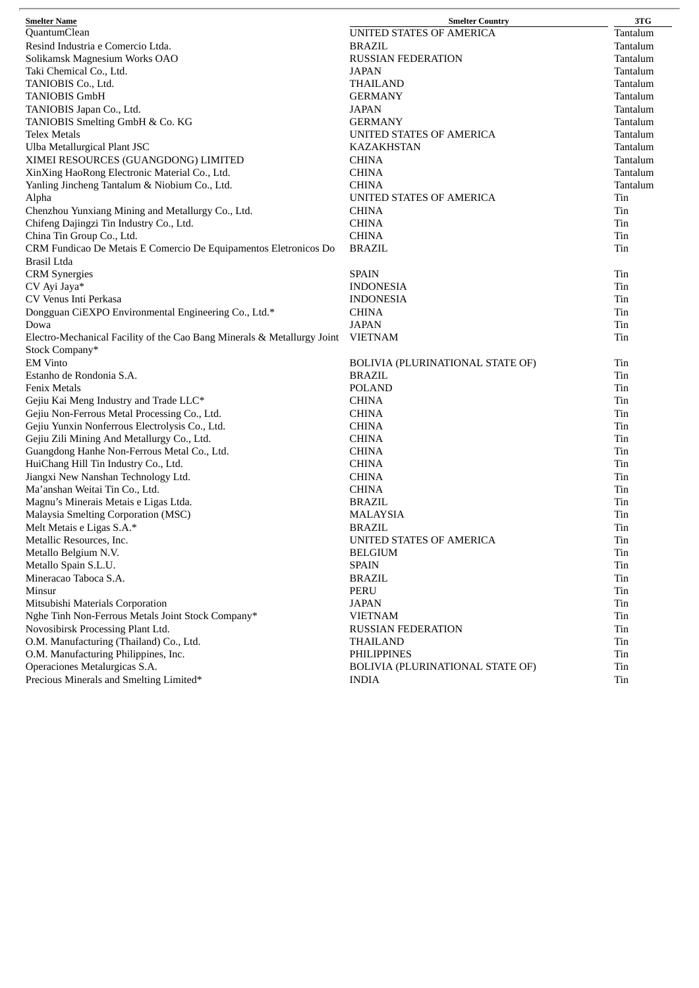| <b>Smelter Name</b>                                                     | <b>Smelter Country</b>           | 3TG      |
|-------------------------------------------------------------------------|----------------------------------|----------|
| QuantumClean                                                            | <b>UNITED STATES OF AMERICA</b>  | Tantalum |
| Resind Industria e Comercio Ltda.                                       | <b>BRAZIL</b>                    | Tantalum |
| Solikamsk Magnesium Works OAO                                           | <b>RUSSIAN FEDERATION</b>        | Tantalum |
| Taki Chemical Co., Ltd.                                                 | <b>JAPAN</b>                     | Tantalum |
| TANIOBIS Co., Ltd.                                                      | <b>THAILAND</b>                  | Tantalum |
| <b>TANIOBIS GmbH</b>                                                    | <b>GERMANY</b>                   | Tantalum |
| TANIOBIS Japan Co., Ltd.                                                | <b>JAPAN</b>                     | Tantalum |
| TANIOBIS Smelting GmbH & Co. KG                                         | <b>GERMANY</b>                   | Tantalum |
| Telex Metals                                                            | UNITED STATES OF AMERICA         | Tantalum |
| Ulba Metallurgical Plant JSC                                            | <b>KAZAKHSTAN</b>                | Tantalum |
| XIMEI RESOURCES (GUANGDONG) LIMITED                                     | <b>CHINA</b>                     | Tantalum |
| XinXing HaoRong Electronic Material Co., Ltd.                           | <b>CHINA</b>                     | Tantalum |
| Yanling Jincheng Tantalum & Niobium Co., Ltd.                           | <b>CHINA</b>                     | Tantalum |
| Alpha                                                                   | UNITED STATES OF AMERICA         | Tin      |
| Chenzhou Yunxiang Mining and Metallurgy Co., Ltd.                       | <b>CHINA</b>                     | Tin      |
| Chifeng Dajingzi Tin Industry Co., Ltd.                                 | <b>CHINA</b>                     | Tin      |
| China Tin Group Co., Ltd.                                               | <b>CHINA</b>                     | Tin      |
| CRM Fundicao De Metais E Comercio De Equipamentos Eletronicos Do        | <b>BRAZIL</b>                    | Tin      |
| Brasil Ltda                                                             |                                  |          |
| <b>CRM</b> Synergies                                                    | <b>SPAIN</b>                     | Tin      |
| CV Ayi Jaya*                                                            | <b>INDONESIA</b>                 | Tin      |
| CV Venus Inti Perkasa                                                   | <b>INDONESIA</b>                 | Tin      |
| Dongguan CiEXPO Environmental Engineering Co., Ltd.*                    | <b>CHINA</b>                     | Tin      |
| Dowa                                                                    | <b>JAPAN</b>                     | Tin      |
| Electro-Mechanical Facility of the Cao Bang Minerals & Metallurgy Joint | <b>VIETNAM</b>                   | Tin      |
| Stock Company*                                                          |                                  |          |
| <b>EM Vinto</b>                                                         | BOLIVIA (PLURINATIONAL STATE OF) | Tin      |
| Estanho de Rondonia S.A.                                                | BRAZIL                           | Tin      |
| <b>Fenix Metals</b>                                                     | <b>POLAND</b>                    | Tin      |
| Gejiu Kai Meng Industry and Trade LLC*                                  | <b>CHINA</b>                     | Tin      |
| Gejiu Non-Ferrous Metal Processing Co., Ltd.                            | <b>CHINA</b>                     | Tin      |
| Gejiu Yunxin Nonferrous Electrolysis Co., Ltd.                          | <b>CHINA</b>                     | Tin      |
| Gejiu Zili Mining And Metallurgy Co., Ltd.                              | <b>CHINA</b>                     | Tin      |
| Guangdong Hanhe Non-Ferrous Metal Co., Ltd.                             | <b>CHINA</b>                     | Tin      |
| HuiChang Hill Tin Industry Co., Ltd.                                    | <b>CHINA</b>                     | Tin      |
| Jiangxi New Nanshan Technology Ltd.                                     | <b>CHINA</b>                     | Tin      |
| Ma'anshan Weitai Tin Co., Ltd.                                          | <b>CHINA</b>                     | Tin      |
| Magnu's Minerais Metais e Ligas Ltda.                                   | <b>BRAZIL</b>                    | Tin      |
| Malaysia Smelting Corporation (MSC)                                     | <b>MALAYSIA</b>                  | Tin      |
| Melt Metais e Ligas S.A.*                                               | <b>BRAZIL</b>                    | Tin      |
| Metallic Resources, Inc.                                                | UNITED STATES OF AMERICA         | Tin      |
| Metallo Belgium N.V.                                                    | <b>BELGIUM</b>                   | Tin      |
| Metallo Spain S.L.U.                                                    | <b>SPAIN</b>                     | Tin      |
| Mineracao Taboca S.A.                                                   | <b>BRAZIL</b>                    | Tin      |
| Minsur                                                                  | PERU                             | Tin      |
| Mitsubishi Materials Corporation                                        | <b>JAPAN</b>                     | Tin      |
| Nghe Tinh Non-Ferrous Metals Joint Stock Company*                       | <b>VIETNAM</b>                   | Tin      |
| Novosibirsk Processing Plant Ltd.                                       | <b>RUSSIAN FEDERATION</b>        | Tin      |
| O.M. Manufacturing (Thailand) Co., Ltd.                                 | <b>THAILAND</b>                  | Tin      |
| O.M. Manufacturing Philippines, Inc.                                    | <b>PHILIPPINES</b>               | Tin      |
| Operaciones Metalurgicas S.A.                                           | BOLIVIA (PLURINATIONAL STATE OF) | Tin      |
| Precious Minerals and Smelting Limited*                                 | <b>INDIA</b>                     | Tin      |
|                                                                         |                                  |          |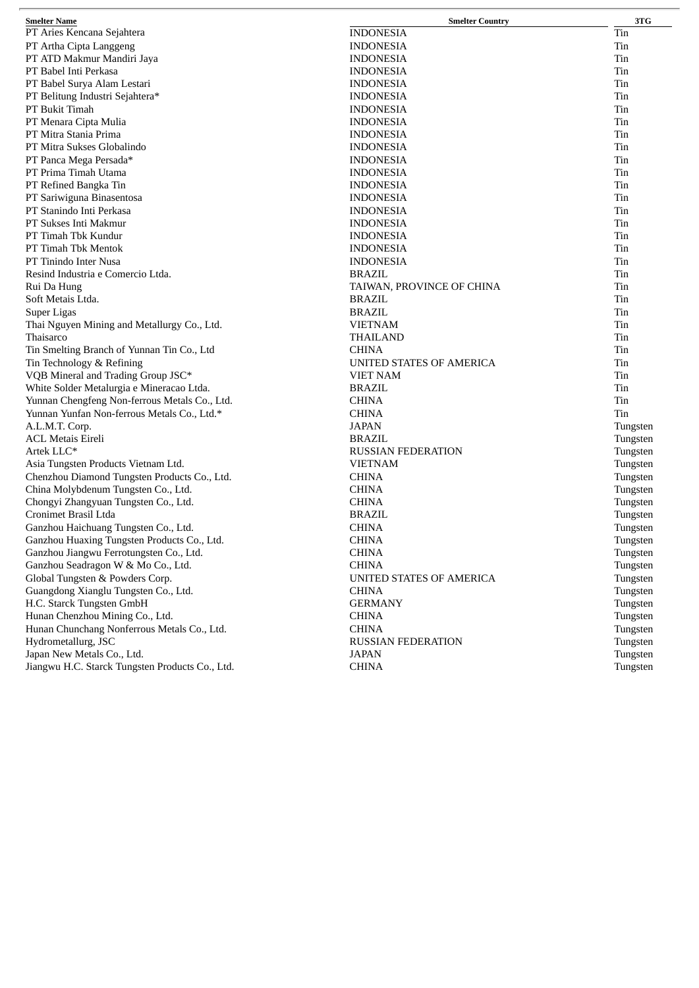| <b>Smelter Name</b>                             | <b>Smelter Country</b>          | 3TG      |
|-------------------------------------------------|---------------------------------|----------|
| PT Aries Kencana Sejahtera                      | <b>INDONESIA</b>                | Tin      |
| PT Artha Cipta Langgeng                         | <b>INDONESIA</b>                | Tin      |
| PT ATD Makmur Mandiri Jaya                      | <b>INDONESIA</b>                | Tin      |
| PT Babel Inti Perkasa                           | <b>INDONESIA</b>                | Tin      |
| PT Babel Surya Alam Lestari                     | <b>INDONESIA</b>                | Tin      |
| PT Belitung Industri Sejahtera*                 | <b>INDONESIA</b>                | Tin      |
| PT Bukit Timah                                  | <b>INDONESIA</b>                | Tin      |
| PT Menara Cipta Mulia                           | <b>INDONESIA</b>                | Tin      |
| PT Mitra Stania Prima                           | <b>INDONESIA</b>                | Tin      |
| PT Mitra Sukses Globalindo                      | <b>INDONESIA</b>                | Tin      |
| PT Panca Mega Persada*                          | <b>INDONESIA</b>                | Tin      |
| PT Prima Timah Utama                            | <b>INDONESIA</b>                | Tin      |
| PT Refined Bangka Tin                           | <b>INDONESIA</b>                | Tin      |
| PT Sariwiguna Binasentosa                       | <b>INDONESIA</b>                | Tin      |
| PT Stanindo Inti Perkasa                        | <b>INDONESIA</b>                | Tin      |
| PT Sukses Inti Makmur                           | <b>INDONESIA</b>                | Tin      |
| PT Timah Tbk Kundur                             | <b>INDONESIA</b>                | Tin      |
| PT Timah Tbk Mentok                             | <b>INDONESIA</b>                | Tin      |
| PT Tinindo Inter Nusa                           | <b>INDONESIA</b>                | Tin      |
| Resind Industria e Comercio Ltda.               | <b>BRAZIL</b>                   | Tin      |
| Rui Da Hung                                     | TAIWAN, PROVINCE OF CHINA       | Tin      |
| Soft Metais Ltda.                               | <b>BRAZIL</b>                   | Tin      |
| Super Ligas                                     | <b>BRAZIL</b>                   | Tin      |
| Thai Nguyen Mining and Metallurgy Co., Ltd.     | <b>VIETNAM</b>                  | Tin      |
| Thaisarco                                       | <b>THAILAND</b>                 | Tin      |
| Tin Smelting Branch of Yunnan Tin Co., Ltd      | <b>CHINA</b>                    | Tin      |
| Tin Technology & Refining                       | UNITED STATES OF AMERICA        | Tin      |
| VQB Mineral and Trading Group JSC*              | <b>VIET NAM</b>                 | Tin      |
| White Solder Metalurgia e Mineracao Ltda.       | BRAZIL                          | Tin      |
| Yunnan Chengfeng Non-ferrous Metals Co., Ltd.   | <b>CHINA</b>                    | Tin      |
| Yunnan Yunfan Non-ferrous Metals Co., Ltd.*     | <b>CHINA</b>                    | Tin      |
| A.L.M.T. Corp.                                  | <b>JAPAN</b>                    | Tungsten |
| <b>ACL Metais Eireli</b>                        | <b>BRAZIL</b>                   | Tungsten |
| Artek LLC*                                      | <b>RUSSIAN FEDERATION</b>       | Tungsten |
| Asia Tungsten Products Vietnam Ltd.             | <b>VIETNAM</b>                  | Tungsten |
| Chenzhou Diamond Tungsten Products Co., Ltd.    | <b>CHINA</b>                    | Tungsten |
| China Molybdenum Tungsten Co., Ltd.             | <b>CHINA</b>                    | Tungsten |
| Chongyi Zhangyuan Tungsten Co., Ltd.            | <b>CHINA</b>                    | Tungsten |
| Cronimet Brasil Ltda                            | BRAZIL                          | Tungsten |
| Ganzhou Haichuang Tungsten Co., Ltd.            | <b>CHINA</b>                    | Tungsten |
| Ganzhou Huaxing Tungsten Products Co., Ltd.     | <b>CHINA</b>                    | Tungsten |
| Ganzhou Jiangwu Ferrotungsten Co., Ltd.         | <b>CHINA</b>                    | Tungsten |
| Ganzhou Seadragon W & Mo Co., Ltd.              | <b>CHINA</b>                    | Tungsten |
| Global Tungsten & Powders Corp.                 | <b>UNITED STATES OF AMERICA</b> | Tungsten |
| Guangdong Xianglu Tungsten Co., Ltd.            | <b>CHINA</b>                    | Tungsten |
| H.C. Starck Tungsten GmbH                       | <b>GERMANY</b>                  | Tungsten |
| Hunan Chenzhou Mining Co., Ltd.                 | <b>CHINA</b>                    | Tungsten |
| Hunan Chunchang Nonferrous Metals Co., Ltd.     | <b>CHINA</b>                    | Tungsten |
| Hydrometallurg, JSC                             | <b>RUSSIAN FEDERATION</b>       | Tungsten |
| Japan New Metals Co., Ltd.                      | <b>JAPAN</b>                    | Tungsten |
| Jiangwu H.C. Starck Tungsten Products Co., Ltd. | <b>CHINA</b>                    | Tungsten |